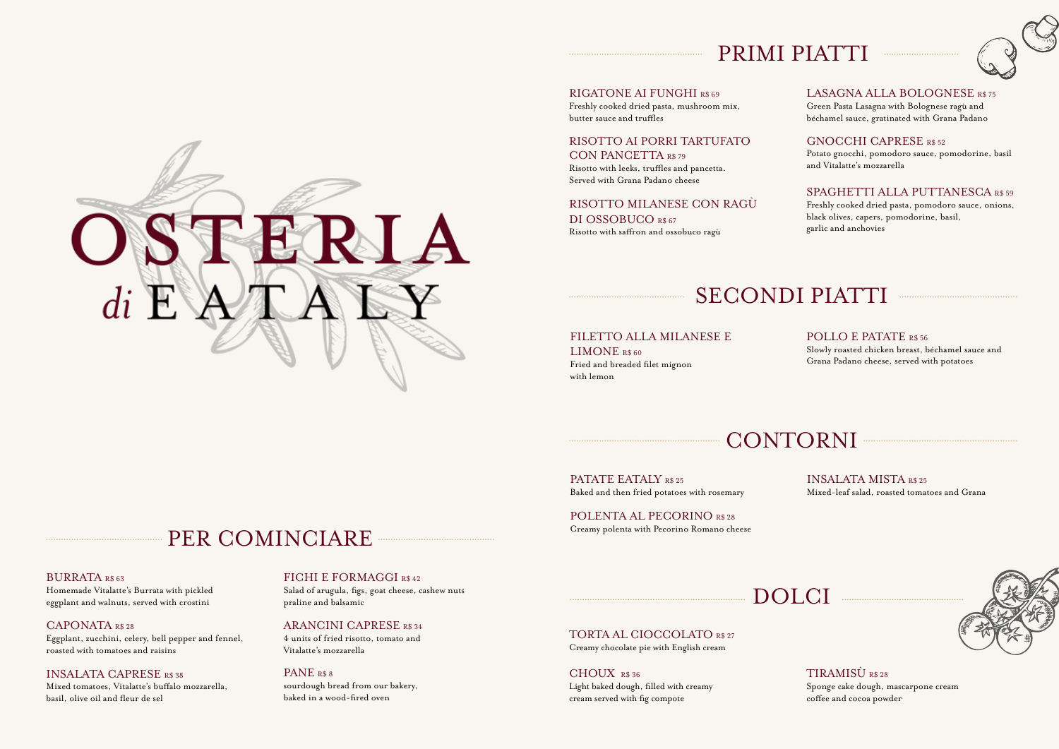### PRIMI PIATTI



Freshly cooked dried pasta, mushroom mix, butter sauce and truffles

RISOTTO AI PORRI TARTUFATO CON PANCETTA R\$ 79

Risotto with leeks, truffles and pancetta. Served with Grana Padano cheese

RISOTTO MILANESE CON RAGÙ DI OSSOBUCO R\$ 67 Risotto with saffron and ossobuco ragù

#### LASAGNA ALLA BOLOGNESE R\$ 75 Green Pasta Lasagna with Bolognese ragù and

béchamel sauce, gratinated with Grana Padano

### GNOCCHI CAPRESE R\$ 52

Potato gnocchi, pomodoro sauce, pomodorine, basil and Vitalatte's mozzarella

#### SPAGHETTI ALLA PUTTANESCA R\$ 59

Freshly cooked dried pasta, pomodoro sauce, onions, black olives, capers, pomodorine, basil, garlic and anchovies

# SECONDI PIATTI

#### FILETTO ALLA MILANESE E

LIMONE R\$ 60 Fried and breaded filet mignon with lemon

#### POLLO E PATATE R\$ 56

Slowly roasted chicken breast, béchamel sauce and Grana Padano cheese, served with potatoes

CONTORNI

DOLCI

PATATE EATALY R\$ 25 Baked and then fried potatoes with rosemary

POLENTA AL PECORINO R\$ 28 Creamy polenta with Pecorino Romano cheese INSALATA MISTA R\$ 25 Mixed-leaf salad, roasted tomatoes and Grana

# PER COMINCIARE

#### BURRATA R\$ 63

Homemade Vitalatte's Burrata with pickled eggplant and walnuts, served with crostini

CAPONATA R\$ 28 Eggplant, zucchini, celery, bell pepper and fennel, roasted with tomatoes and raisins

#### INSALATA CAPRESE R\$ 38

Mixed tomatoes, Vitalatte's buffalo mozzarella, basil, olive oil and fleur de sel

#### FICHI E FORMAGGI R\$ 42

Salad of arugula, figs, goat cheese, cashew nuts praline and balsamic

#### ARANCINI CAPRESE R\$ 34

4 units of fried risotto, tomato and Vitalatte's mozzarella

#### PANE R\$ 8

sourdough bread from our bakery, baked in a wood-fired oven

TORTA AL CIOCCOLATO R\$ 27 Creamy chocolate pie with English cream

CHOUX R\$ 36 Light baked dough, filled with creamy cream served with fig compote



#### TIRAMISÙ R\$ 28 Sponge cake dough, mascarpone cream coffee and cocoa powder